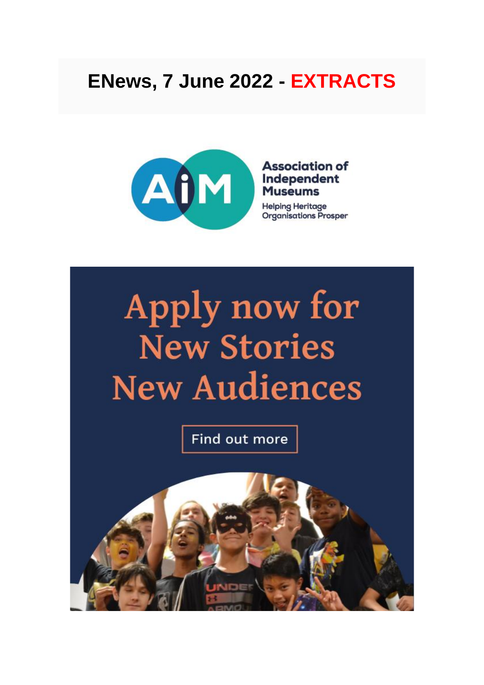# ENews, 7 June 2022 - EXTRACTS



#### **Association of** Independent **Museums**

**Helping Heritage Organisations Prosper** 

# Apply now for **New Stories New Audiences**

Find out more

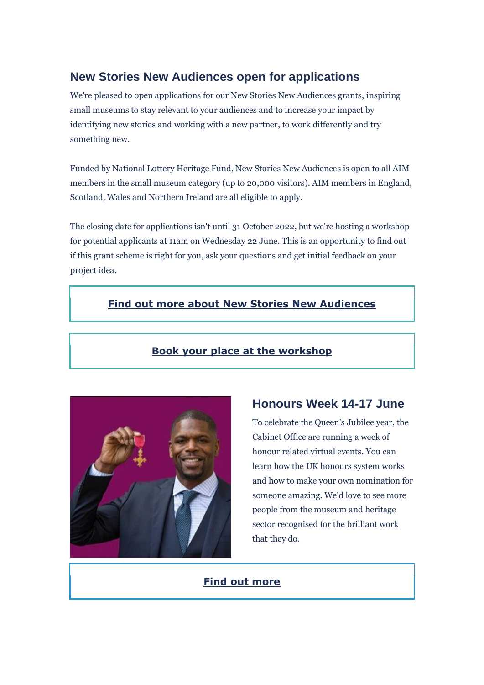### **New Stories New Audiences open for applications**

We're pleased to open applications for our New Stories New Audiences grants, inspiring small museums to stay relevant to your audiences and to increase your impact by identifying new stories and working with a new partner, to work differently and try something new.

Funded by National Lottery Heritage Fund, New Stories New Audiences is open to all AIM members in the small museum category (up to 20,000 visitors). AIM members in England, Scotland, Wales and Northern Ireland are all eligible to apply.

The closing date for applications isn't until 31 October 2022, but we're hosting a workshop for potential applicants at 11am on Wednesday 22 June. This is an opportunity to find out if this grant scheme is right for you, ask your questions and get initial feedback on your project idea.

#### **[Find out more about New Stories New Audiences](https://nam12.safelinks.protection.outlook.com/?url=https%3A%2F%2Faim-museums.us8.list-manage.com%2Ftrack%2Fclick%3Fu%3Da42e8f18624218dfa43a3ae7c%26id%3Dc278358358%26e%3Df4debb0c75&data=05%7C01%7C%7Cb63b2eb9cff1461b150608da489b3bcc%7C84df9e7fe9f640afb435aaaaaaaaaaaa%7C1%7C0%7C637902128818782119%7CUnknown%7CTWFpbGZsb3d8eyJWIjoiMC4wLjAwMDAiLCJQIjoiV2luMzIiLCJBTiI6Ik1haWwiLCJXVCI6Mn0%3D%7C3000%7C%7C%7C&sdata=M3FPYTfeM9KZ0nYHMFBDdX6SPPjEG%2BYMU6E9Vwwdzik%3D&reserved=0)**

#### **[Book your place at the workshop](https://nam12.safelinks.protection.outlook.com/?url=https%3A%2F%2Faim-museums.us8.list-manage.com%2Ftrack%2Fclick%3Fu%3Da42e8f18624218dfa43a3ae7c%26id%3Dff6dcff00e%26e%3Df4debb0c75&data=05%7C01%7C%7Cb63b2eb9cff1461b150608da489b3bcc%7C84df9e7fe9f640afb435aaaaaaaaaaaa%7C1%7C0%7C637902128818782119%7CUnknown%7CTWFpbGZsb3d8eyJWIjoiMC4wLjAwMDAiLCJQIjoiV2luMzIiLCJBTiI6Ik1haWwiLCJXVCI6Mn0%3D%7C3000%7C%7C%7C&sdata=TZkTcMSds8413Rcw9473x%2Fd5kbBQwo1TC3SFSmfAzMk%3D&reserved=0)**



#### **Honours Week 14-17 June**

To celebrate the Queen's Jubilee year, the Cabinet Office are running a week of honour related virtual events. You can learn how the UK honours system works and how to make your own nomination for someone amazing. We'd love to see more people from the museum and heritage sector recognised for the brilliant work that they do.

#### **[Find out more](https://nam12.safelinks.protection.outlook.com/?url=https%3A%2F%2Faim-museums.us8.list-manage.com%2Ftrack%2Fclick%3Fu%3Da42e8f18624218dfa43a3ae7c%26id%3D0829b2f108%26e%3Df4debb0c75&data=05%7C01%7C%7Cb63b2eb9cff1461b150608da489b3bcc%7C84df9e7fe9f640afb435aaaaaaaaaaaa%7C1%7C0%7C637902128818782119%7CUnknown%7CTWFpbGZsb3d8eyJWIjoiMC4wLjAwMDAiLCJQIjoiV2luMzIiLCJBTiI6Ik1haWwiLCJXVCI6Mn0%3D%7C3000%7C%7C%7C&sdata=cTsnBgz61anO6J%2FOOEaKewv9KN5dhujfEaJCLm7Tz3w%3D&reserved=0)**